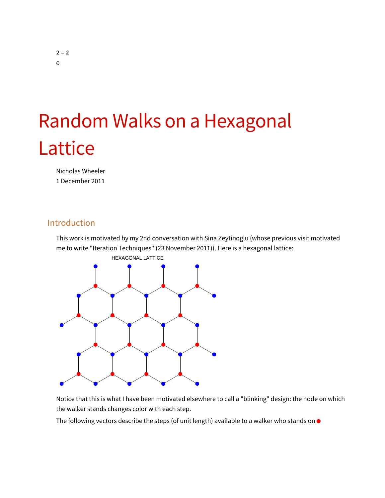# Random Walks on a Hexagonal Lattice

Nicholas Wheeler 1 December 2011

## Introduction

This work is motivated by my 2nd conversation with Sina Zeytinoglu (whose previous visit motivated me to write "Iteration Techniques" (23 November 2011)). Here is a hexagonal lattice:



Notice that this is what I have been motivated elsewhere to call a "blinking" design: the node on which the walker stands changes color with each step.

The following vectors describe the steps (of unit length) available to a walker who stands on  $\bullet$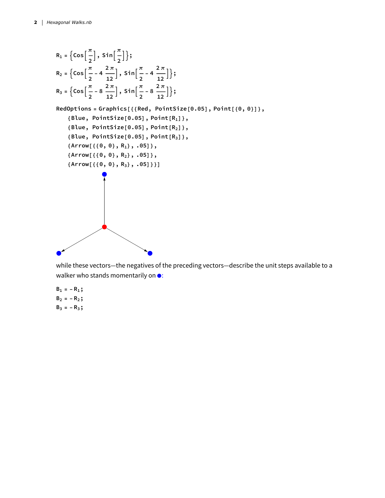R<sub>1</sub> = {cos
$$
\left[\frac{\pi}{2}\right]
$$
, sin $\left[\frac{\pi}{2}\right]$ };  
\nR<sub>2</sub> = {cos $\left[\frac{\pi}{2} - 4\frac{2\pi}{12}\right]$ , sin $\left[\frac{\pi}{2} - 4\frac{2\pi}{12}\right]$ };  
\nR<sub>3</sub> = {cos $\left[\frac{\pi}{2} - 8\frac{2\pi}{12}\right]$ , sin $\left[\frac{\pi}{2} - 8\frac{2\pi}{12}\right]$ };  
\nRedOptions = Graphics[{(Red, PointSize[0.05], Point[0, 0)]},  
\n(Blue, PointSize[0.05], Point[R<sub>1</sub>],  
\n(Blue, PointSize[0.05], Point[R<sub>2</sub>],  
\n(Blue, PointSize[0.05], Point[R<sub>3</sub>],  
\n(Arrow[{(0, 0], R<sub>1</sub>), .05}],  
\n(Arrow[{(0, 0], R<sub>3</sub>), .05]}),  
\n(Arrow[{(0, 0], R<sub>3</sub>), .05]})]

while these vectors—the negatives of the preceding vectors—describe the unit steps available to a walker who stands momentarily on  $\bullet$ :

- $B_1 = -R_1;$  $B_2 = -R_2;$
- $B_3 = -R_3;$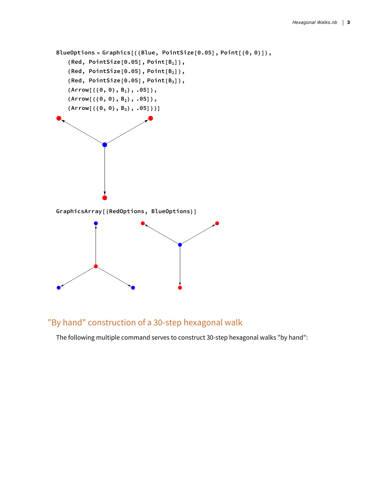```
BlueOptions = Graphics[{{Blue, PointSize[0.05], Point[{0, 0}]},
   {Red, PointSize[0.05], Point[B1]},
   {Red, PointSize[0.05], Point[B2]},
   {Red, PointSize[0.05], Point[B3]},
   {Arrow[{{0, 0}, B1}, .05]},
   {Arrow[{{0, 0}, B2}, .05]},
   {Arrow[{{0, 0}, B3}, .05]}}]
GraphicsArray[{RedOptions, BlueOptions}]
```
# "By hand" construction of a 30-step hexagonal walk

The following multiple command serves to construct 30-step hexagonal walks "by hand":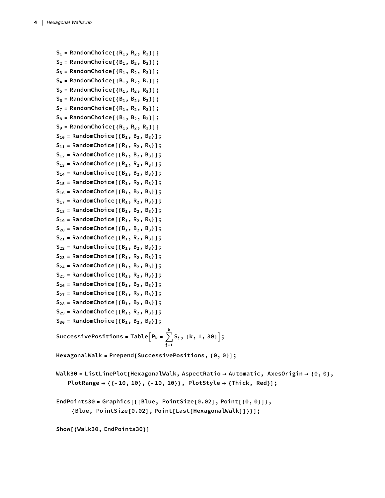```
S1 = RandomChoice[{R1, R2, R3}];
S2 = RandomChoice[{B1, B2, B3}];
S_3 = RandomChoice [{R_1, R_2, R_3}];
S4 = RandomChoice[{B1, B2, B3}];
S5 = RandomChoice[{R1, R2, R3}];
S_6 = RandomChoice<sup>[{B<sub>1</sub>, B<sub>2</sub>, B<sub>3</sub>}];</sup>
S_7 = RandomChoice[ {R_1, R_2, R_3}];
S_8 = RandomChoice<sup>[{B<sub>1</sub>, B<sub>2</sub>, B<sub>3</sub>}];</sup>
S9 = RandomChoice[{R1, R2, R3}];
S10 = RandomChoice[{B1, B2, B3}];
S11 = RandomChoice[{R1, R2, R3}];
S12 = RandomChoice[{B1, B2, B3}];
S13 = RandomChoice[{R1, R2, R3}];
S14 = RandomChoice[{B1, B2, B3}];
S15 = RandomChoice[{R1, R2, R3}];
S16 = RandomChoice[{B1, B2, B3}];
S17 = RandomChoice[{R1, R2, R3}];
S18 = RandomChoice[{B1, B2, B3}];
S19 = RandomChoice[{R1, R2, R3}];
S20 = RandomChoice[{B1, B2, B3}];
S21 = RandomChoice[{R1, R2, R3}];
S_{22} = RandomChoice<sup>[{B<sub>1</sub>, B<sub>2</sub>, B<sub>3</sub>}];</sup>
S23 = RandomChoice[{R1, R2, R3}];
S24 = RandomChoice[{B1, B2, B3}];
S_{25} = RandomChoice<sup>[{R<sub>1</sub>, R<sub>2</sub>, R<sub>3</sub>}];</sup>
S_{26} = RandomChoice<sup>[{B<sub>1</sub>, B<sub>2</sub>, B<sub>3</sub>}];</sup>
S27 = RandomChoice[{R1, R2, R3}];
S28 = RandomChoice[{B1, B2, B3}];
S29 = RandomChoice[{R1, R2, R3}];
S30 = RandomChoice[{B1, B2, B3}];
\textsf{SuccessivePositions} = \textsf{Table} | P_k = \sum_{k=1}^{k} P_kj=1
                                           k
                                             Sj, {k, 1, 30};
HexagonalWalk = Prepend[SuccessivePositions, {0, 0}];
Walk30 = ListLinePlot[HexagonalWalk, AspectRatio → Automatic, AxesOrigin → {0, 0},
    PlotRange → {{-10, 10}, {-10, 10}}, PlotStyle → {Thick, Red}];
```

```
EndPoints30 = Graphics[{{Blue, PointSize[0.02], Point[{0, 0}]},
    {Blue, PointSize[0.02], Point[Last[HexagonalWalk]]}}];
```
**Show[{Walk30, EndPoints30}]**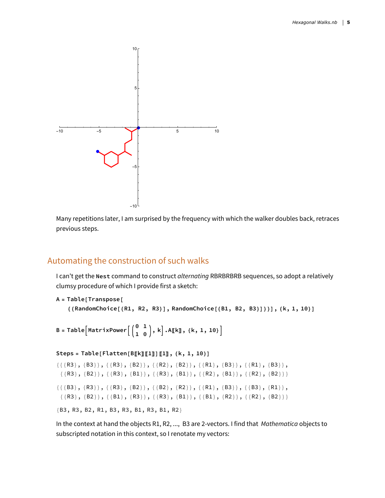

Many repetitions later, I am surprised by the frequency with which the walker doubles back, retraces previous steps.

### Automating the construction of such walks

I can't get the **Nest** command to construct *alternating* RBRBRBRB sequences, so adopt a relatively clumsy procedure of which I provide first a sketch:

```
A = Table[Transpose[
   {{RandomChoice[{R1, R2, R3}], RandomChoice[{B1, B2, B3}]}}], {k, 1, 10}]
```
 $\mathbf{B}$  = <code>Table</code>  $\left[\text{MatrixPower}\Big[\begin{pmatrix} 0 & 1 \\ 1 & 0 \end{pmatrix}, \mathbf{k}\Big]$   $\text{.A}\mathbb{I}\mathbf{k}\mathbb{J}$  , { $\text{k, 1, 10}\}\Big]$ 

```
Steps = Table[Flatten[B〚k〛〚1〛]〚1〛, {k, 1, 10}]
{({R3}, {B3}}, {B3}, {({R3}, {B2}}), {({R2}, {B2}}), {({R1}, {B3}}), {({R1}, {B3}}),\{\{R3\}, \{B2\}\}, \{\{R3\}, \{B1\}\}, \{\{R3\}, \{B1\}\}, \{\{R2\}, \{B1\}\}, \{\{R2\}, \{B2\}\}\}\{({B3}, {R3}}, {({R3}, {B2}), {({B2}, {B2}}), {({R1}, {B2}}), {({R1}, {B3}}), {({B3}, {R1}}),\{\{R3\}, \{B2\}\}, \{\{B1\}, \{R3\}\}, \{\{R3\}, \{B1\}\}, \{\{B1\}, \{R2\}\}, \{\{R2\}, \{B2\}\}\}\{B3, R3, B2, R1, B3, R3, B1, R3, B1, R2}
```
In the context at hand the objects R1, R2, ..., B3 are 2-vectors. I find that *Mathematica* objects to subscripted notation in this context, so I renotate my vectors: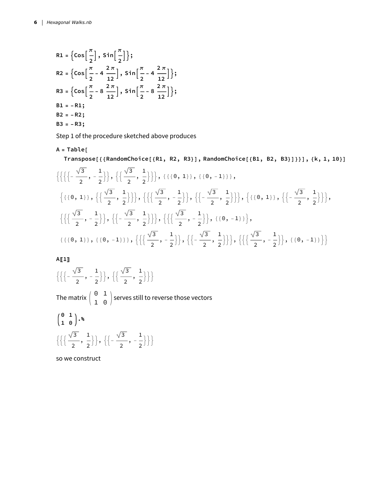R1 = {Cos 
$$
\left[\frac{\pi}{2}\right]
$$
, Sin  $\left[\frac{\pi}{2}\right]$ };  
\nR2 = {Cos  $\left[\frac{\pi}{2} - 4\frac{2\pi}{12}\right]$ , Sin  $\left[\frac{\pi}{2} - 4\frac{2\pi}{12}\right]$ };  
\nR3 = {Cos  $\left[\frac{\pi}{2} - 8\frac{2\pi}{12}\right]$ , Sin  $\left[\frac{\pi}{2} - 8\frac{2\pi}{12}\right]$ };  
\nB1 = -R1;  
\nB2 = -R2;  
\nB3 = -R3;

Step 1 of the procedure sketched above produces

**A = Table[**

Transpose[{{RandomChoice[{R1, R2, R3}], RandomChoice[{B1, B2, B3}]}}], {k, 1, 10}]

$$
\{\{\{\{-\frac{\sqrt{3}}{2}, -\frac{1}{2}\}, \{\{\frac{\sqrt{3}}{2}, \frac{1}{2}\}\}, \{(\{0, 1\}), \{(0, -1)\}\},\}\}\n\{\{\{0, 1\}\}, \{\{\frac{\sqrt{3}}{2}, \frac{1}{2}\}\}, \{\{\{\frac{\sqrt{3}}{2}, -\frac{1}{2}\}\}, \{\{\frac{\sqrt{3}}{2}, \frac{1}{2}\}\}\}, \{\{\{0, 1\}\}, \{\{\frac{\sqrt{3}}{2}, -\frac{1}{2}\}\}, \{\{\frac{\sqrt{3}}{2}, -\frac{1}{2}\}\}, \{\{\{0, -1\}\}\},\}\n\{\{\{\frac{\sqrt{3}}{2}, -\frac{1}{2}\}\}, \{\{\frac{\sqrt{3}}{2}, -\frac{1}{2}\}\}, \{\{\{0, -1\}\}\}, \{\{\frac{\sqrt{3}}{2}, -\frac{1}{2}\}\}, \{\{\frac{\sqrt{3}}{2}, -\frac{1}{2}\}\}, \{\{\frac{\sqrt{3}}{2}, -\frac{1}{2}\}\}, \{\{\{\frac{\sqrt{3}}{2}, -\frac{1}{2}\}\}, \{\{\frac{\sqrt{3}}{2}, -\frac{1}{2}\}\}, \{\{\{\frac{\sqrt{3}}{2}, -\frac{1}{2}\}\}, \{\{\frac{\sqrt{3}}{2}, -\frac{1}{2}\}\}, \{\{\{\frac{\sqrt{3}}{2}, -\frac{1}{2}\}\}\}, \{\{\{\frac{\sqrt{3}}{2}, -\frac{1}{2}\}\}, \{\{\frac{\sqrt{3}}{2}, -\frac{1}{2}\}\}, \{\{\frac{\sqrt{3}}{2}, -\frac{1}{2}\}\}, \{\{\frac{\sqrt{3}}{2}, -\frac{1}{2}\}\}, \{\{\frac{\sqrt{3}}{2}, -\frac{1}{2}\}\}, \{\{\frac{\sqrt{3}}{2}, -\frac{1}{2}\}\}, \{\{\frac{\sqrt{3}}{2}, -\frac{1}{2}\}\}, \{\{\frac{\sqrt{3}}{2}, -\frac{1}{2}\}\}, \{\{\frac{\sqrt{3}}{2}, -\frac{1}{2}\}\}, \{\{\frac{\sqrt{3}}{2}, -\frac{1}{2}\}\}, \{\{\frac{\sqrt{3}}{2}, -\frac{1}{2}\}\}, \{\{\frac{\sqrt{3}}{2}, -\frac{1}{2}\}\}, \{\{\frac{\sqrt{3}}{2}, -\frac{1}{2}\}\}, \{\{\frac{\sqrt{3}}{2}, -\frac{1}{2}\}\
$$

**A〚1〛**

 $\left\{ \left\{ \left[ -\frac{\sqrt{3}}{2}, -\frac{1}{2} \right] \right\}$  $\Big\} \Big\},\, \Big\{ \Big\{ \frac{\sqrt{3}}{2},\, \frac{1}{2} \Big\}$  $\{\}$ The matrix  $\left(\begin{array}{cc} \texttt{0} & \texttt{1} \ \texttt{1} & \texttt{0} \end{array}\right)$  serves still to reverse those vectors **0 1**

$$
\left\{\left\{\frac{\sqrt{3}}{1\ 0},\frac{1}{2}\right\},\left\{\left\{-\frac{\sqrt{3}}{2},\frac{1}{2}\right\}\right\}\right\}
$$

so we construct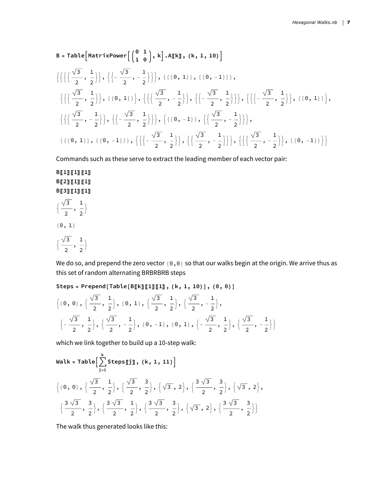B = Table [MatrixPower 
$$
\left[\begin{pmatrix} 0 & 1 \ 1 & 0 \end{pmatrix}, k\right]
$$
. A[k], {k, 1, 10}]  
\n $\left\{\left\{\left\{\left\{\frac{\sqrt{3}}{2}, \frac{1}{2}\right\}, \left\{\left\{-\frac{\sqrt{3}}{2}, -\frac{1}{2}\right\}\right\}, \left\{\left\{\{0, 1\}\right\}, \left\{\{0, -1\}\right\}\right\}, \left\{\left\{-\frac{\sqrt{3}}{2}, \frac{1}{2}\right\}\right\}, \left\{\{0, 1\}\right\}\right\}, \left\{\left\{\left\{\frac{\sqrt{3}}{2}, -\frac{1}{2}\right\}\right\}, \left\{\left\{\left\{-\frac{\sqrt{3}}{2}, \frac{1}{2}\right\}\right\}, \left\{\left\{\left\{-\frac{\sqrt{3}}{2}, -\frac{1}{2}\right\}\right\}\right\}, \left\{\left\{\left\{-\frac{\sqrt{3}}{2}, -\frac{1}{2}\right\}\right\}\right\}, \left\{\left\{\left\{-\frac{\sqrt{3}}{2}, -\frac{1}{2}\right\}\right\}\right\}, \left\{\left\{\left\{-\frac{\sqrt{3}}{2}, -\frac{1}{2}\right\}\right\}\right\}, \left\{\left\{\left\{-\frac{\sqrt{3}}{2}, -\frac{1}{2}\right\}\right\}\right\}$ 

Commands such as these serve to extract the leading member of each vector pair:

#### **B〚1〛〚1〛〚1〛 B〚2〛〚1〛〚1〛 B〚3〛〚1〛〚1〛**

 $\left\{ \right.$ 

$$
\big\{\frac{\sqrt{3}}{2},\,\frac{1}{2}
$$

 ${0, 1}$ 

$$
\big\{\frac{\sqrt{3}}{2},\,\frac{1}{2}\big\}
$$

We do so, and prepend the zero vector {0,0} so that our walks begin at the origin. We arrive thus as this set of random alternating BRBRBRB steps

#### Steps = Prepend [Table [B[k][1][1], {k, 1, 10}], {0, 0}]

$$
\{ \{0, 0\}, \{\frac{\sqrt{3}}{2}, \frac{1}{2}\}, \{0, 1\}, \{\frac{\sqrt{3}}{2}, \frac{1}{2}\}, \{\frac{\sqrt{3}}{2}, -\frac{1}{2}\}, \\\left\{-\frac{\sqrt{3}}{2}, \frac{1}{2}\right\}, \{\frac{\sqrt{3}}{2}, -\frac{1}{2}\}, \{0, -1\}, \{0, 1\}, \left\{-\frac{\sqrt{3}}{2}, \frac{1}{2}\right\}, \left\{\frac{\sqrt{3}}{2}, -\frac{1}{2}\right\} \}
$$

which we link together to build up a 10-step walk:

Walk = Table 
$$
\Big[\sum_{j=1}^{k} \text{StepsIj}, \{k, 1, 11\}\Big]
$$
  
 $\Big\{\{0, 0\}, \Big\{\frac{\sqrt{3}}{2}, \frac{1}{2}\Big\}, \Big\{\frac{\sqrt{3}}{2}, \frac{3}{2}\Big\}, \Big\{\sqrt{3}, 2\Big\}, \Big\{\frac{3\sqrt{3}}{2}, \frac{3}{2}\Big\}, \Big\{\sqrt{3}, 2\Big\}, \Big\}$   
 $\Big\{\frac{3\sqrt{3}}{2}, \frac{3}{2}\Big\}, \Big\{\frac{3\sqrt{3}}{2}, \frac{1}{2}\Big\}, \Big\{\frac{3\sqrt{3}}{2}, \frac{3}{2}\Big\}, \Big\{\sqrt{3}, 2\Big\}, \Big\{\frac{3\sqrt{3}}{2}, \frac{3}{2}\Big\}\Big\}$ 

The walk thus generated looks like this: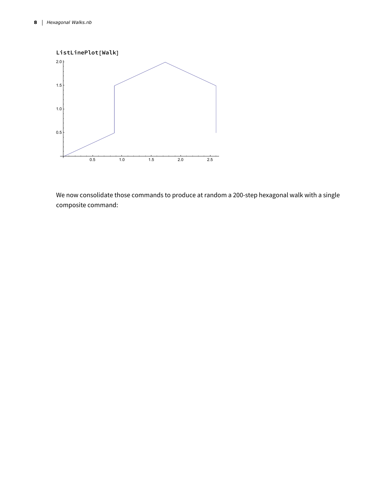

We now consolidate those commands to produce at random a 200-step hexagonal walk with a single composite command: